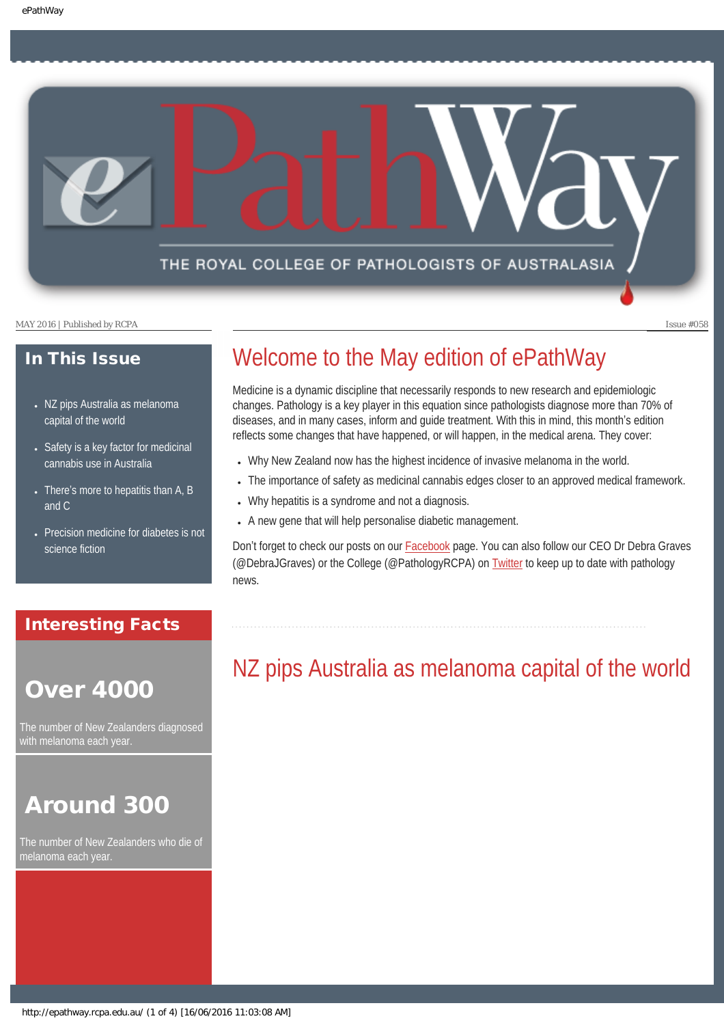### THE ROYAL COLLEGE OF PATHOLOGISTS OF AUSTRALASIA

MAY 2016 | Published by RCPA Issue #058

### In This Issue

- NZ pips Australia as melanoma [capital of the world](#page-0-0)
- Safety is a key factor for medicinal [cannabis use in Australia](#page-1-0)
- There's more to hepatitis than  $A$ ,  $B$ [and C](#page-2-0)
- [Precision medicine for diabetes is not](#page-2-1) [science fiction](#page-2-1)

### Interesting Facts

# <span id="page-0-0"></span>Over 4000

The number of New Zealanders diagnosed with melanoma each year.

# Around 300

The number of New Zealanders who die of melanoma each year.

# Welcome to the May edition of ePathWay

Medicine is a dynamic discipline that necessarily responds to new research and epidemiologic changes. Pathology is a key player in this equation since pathologists diagnose more than 70% of diseases, and in many cases, inform and guide treatment. With this in mind, this month's edition reflects some changes that have happened, or will happen, in the medical arena. They cover:

- Why New Zealand now has the highest incidence of invasive melanoma in the world.
- The importance of safety as medicinal cannabis edges closer to an approved medical framework.
- Why hepatitis is a syndrome and not a diagnosis.
- A new gene that will help personalise diabetic management.

Don't forget to check our posts on our **Facebook** page. You can also follow our CEO Dr Debra Graves (@DebraJGraves) or the College (@PathologyRCPA) on [Twitter](https://twitter.com/pathologyrcpa) to keep up to date with pathology news.

# NZ pips Australia as melanoma capital of the world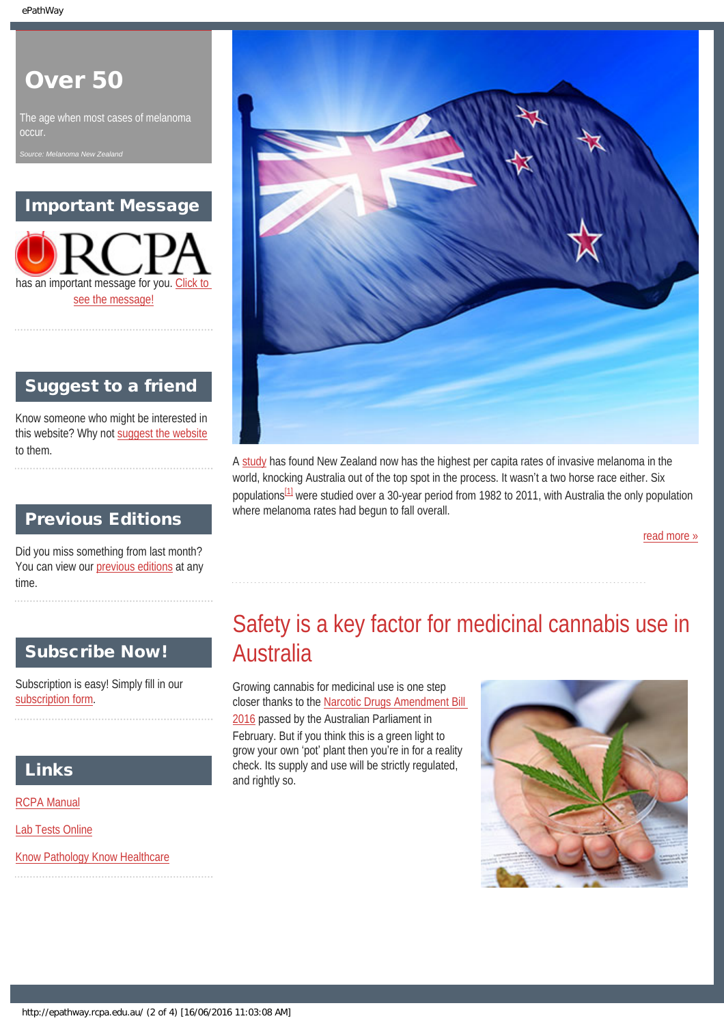# Over 50

The age when most cases of melanoma **occur** 

*Source: Melanoma New Zealand*

### Important Message

has an important message for you. [Click to](#page-4-0)  [see the message!](#page-4-0)

### Suggest to a friend

Know someone who might be interested in this website? Why not [suggest the website](mailto:?Subject=I%20think%20you%20should%20read%20this%20Newsletter=
http://epathway.rcpa.edu.au/index.html) to them.

### Previous Editions

Did you miss something from last month? You can view our [previous editions](#page-5-0) at any time.

### <span id="page-1-0"></span>Subscribe Now!

Subscription is easy! Simply fill in our [subscription form](#page-7-0).

### Links

[RCPA Manual](http://rcpamanual.edu.au/)

[Lab Tests Online](http://www.labtestsonline.org.au/)

[Know Pathology Know Healthcare](http://knowpathology.com.au/)



A [study](http://www.jidonline.org/article/S0022-202X(16)00488-7/pdf) has found New Zealand now has the highest per capita rates of invasive melanoma in the world, knocking Australia out of the top spot in the process. It wasn't a two horse race either. Six populations<sup>[1]</sup> were studied over a 30-year period from 1982 to 2011, with Australia the only population where melanoma rates had begun to fall overall.

[read more »](#page-8-0)

# Safety is a key factor for medicinal cannabis use in Australia

Growing cannabis for medicinal use is one step closer thanks to the [Narcotic Drugs Amendment Bill](https://www.health.gov.au/internet/ministers/publishing.nsf/Content/5E437BF8715C3EBACA257F540078A07A/$File/Public%20Information%20Paper.pdf) [2016](https://www.health.gov.au/internet/ministers/publishing.nsf/Content/5E437BF8715C3EBACA257F540078A07A/$File/Public%20Information%20Paper.pdf) passed by the Australian Parliament in February. But if you think this is a green light to grow your own 'pot' plant then you're in for a reality check. Its supply and use will be strictly regulated, and rightly so.

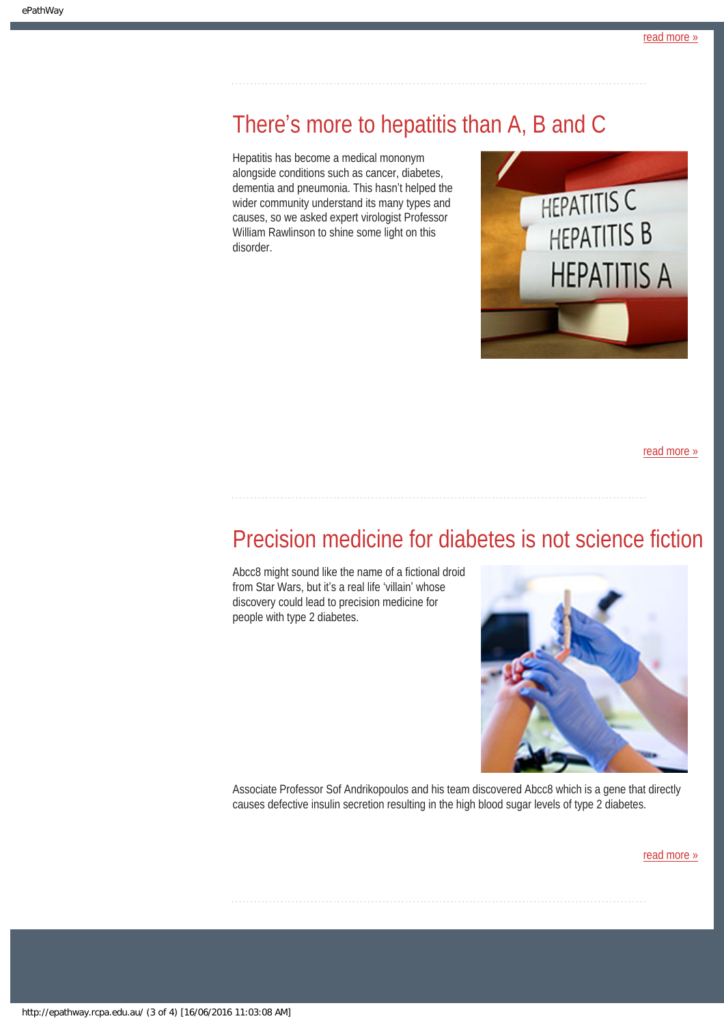# <span id="page-2-0"></span>There's more to hepatitis than A, B and C

Hepatitis has become a medical mononym alongside conditions such as cancer, diabetes, dementia and pneumonia. This hasn't helped the wider community understand its many types and causes, so we asked expert virologist Professor William Rawlinson to shine some light on this disorder.



[read more »](#page-12-0)

# <span id="page-2-1"></span>Precision medicine for diabetes is not science fiction

Abcc8 might sound like the name of a fictional droid from Star Wars, but it's a real life 'villain' whose discovery could lead to precision medicine for people with type 2 diabetes.



Associate Professor Sof Andrikopoulos and his team discovered Abcc8 which is a gene that directly causes defective insulin secretion resulting in the high blood sugar levels of type 2 diabetes.

[read more »](#page-14-0)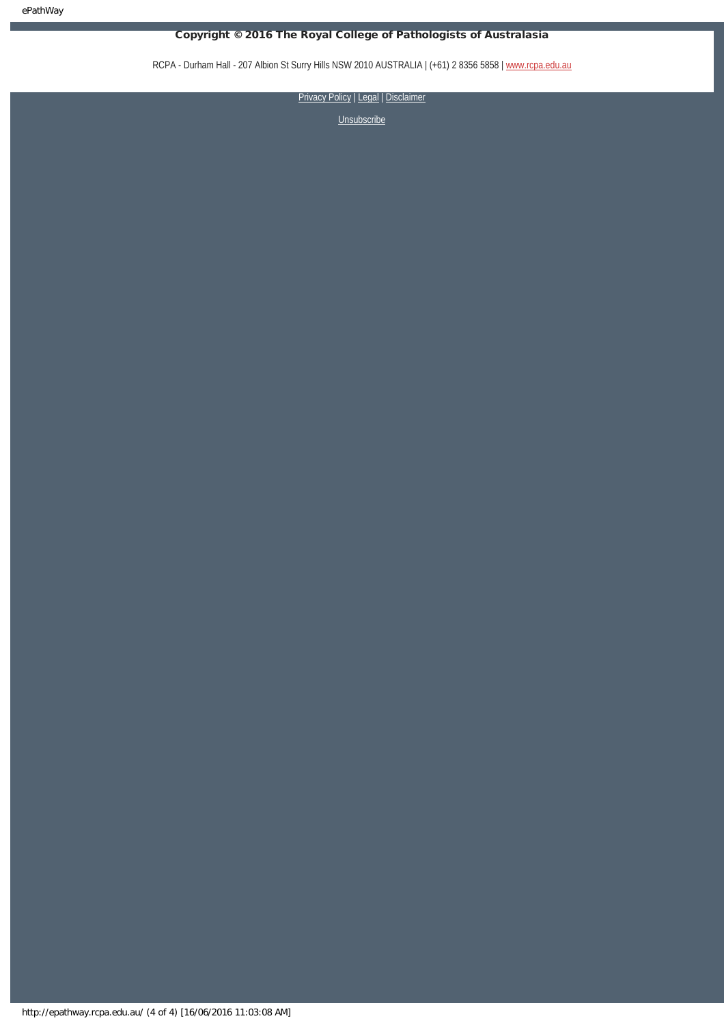ePathWay

### Copyright © 2016 The Royal College of Pathologists of Australasia

RCPA - Durham Hall - 207 Albion St Surry Hills NSW 2010 AUSTRALIA | (+61) 2 8356 5858 | [www.rcpa.edu.au](https://www.rcpa.edu.au/)

[Privacy Policy](https://www.rcpa.edu.au/Privacy-Policy.aspx) | [Legal](https://www.rcpa.edu.au/Legal.aspx) | Disclaimer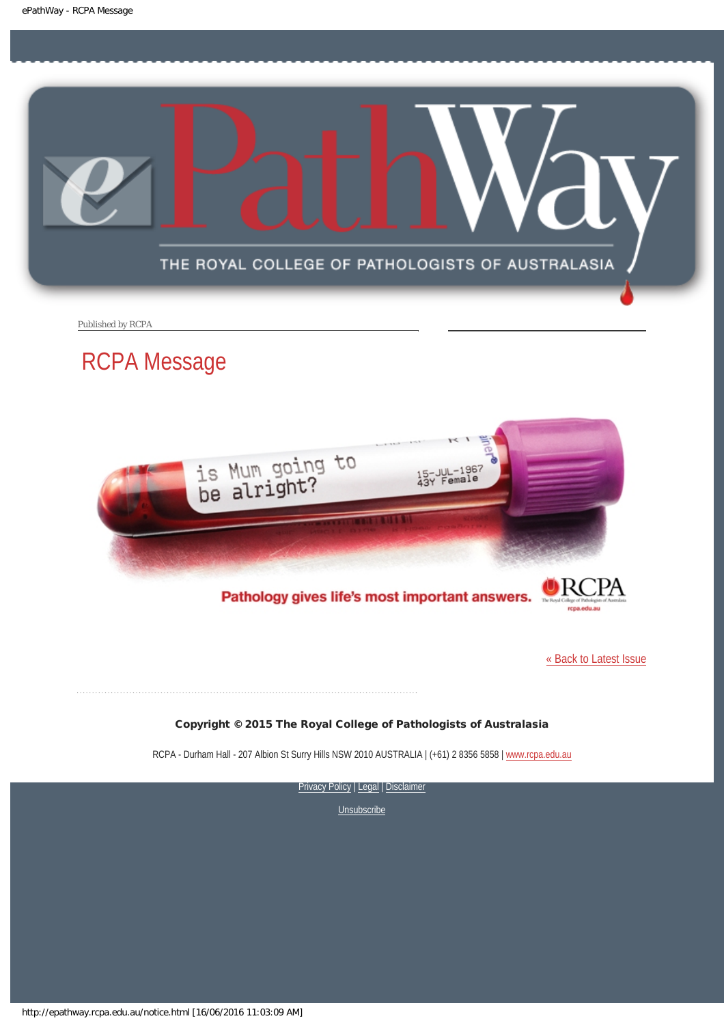<span id="page-4-0"></span>

Published by RCPA

# RCPA Message



Pathology gives life's most important answers.

[« Back to Latest Issue](http://epathway.rcpa.edu.au/index.html)

### Copyright © 2015 The Royal College of Pathologists of Australasia

RCPA - Durham Hall - 207 Albion St Surry Hills NSW 2010 AUSTRALIA | (+61) 2 8356 5858 | [www.rcpa.edu.au](https://www.rcpa.edu.au/)

[Privacy Policy](https://www.rcpa.edu.au/Content-Library/Privacy.aspx) | [Legal](https://www.rcpa.edu.au/Legal.aspx) | Disclaimer

**[Unsubscribe](#page-7-0)** 

http://epathway.rcpa.edu.au/notice.html [16/06/2016 11:03:09 AM]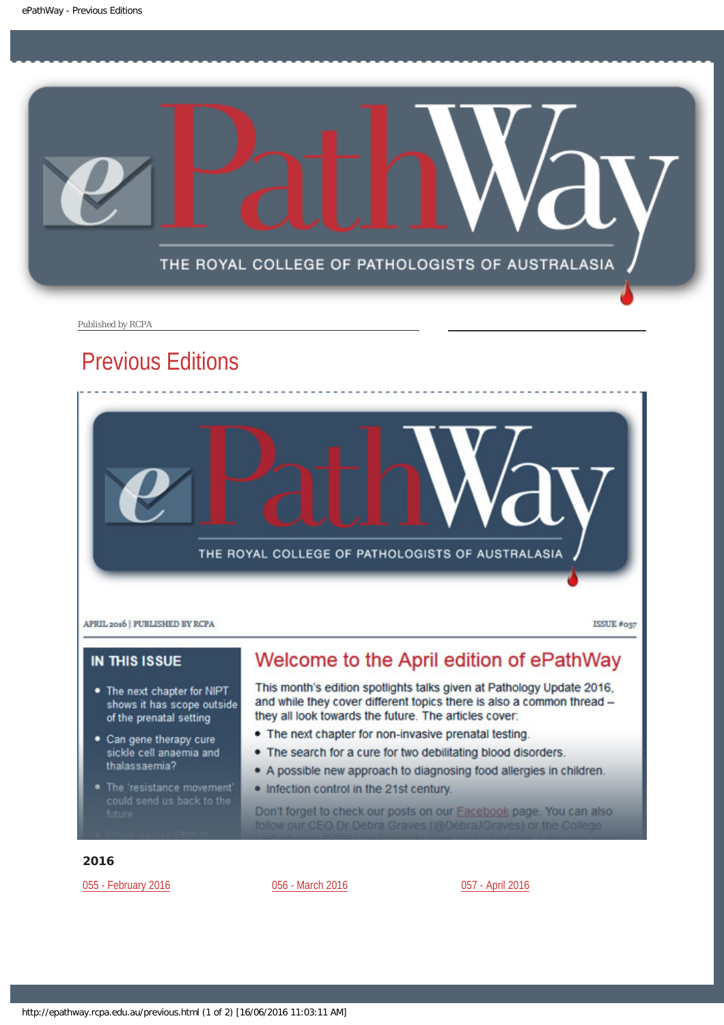<span id="page-5-0"></span>

Published by RCPA

# Previous Editions



**ISSUE** #057

### **IN THIS ISSUE**

- The next chapter for NIPT shows it has scope outside of the prenatal setting
- Can gene therapy cure sickle cell anaemia and thalassaemia?
- 

## Welcome to the April edition of ePathWay

This month's edition spotlights talks given at Pathology Update 2016, and while they cover different topics there is also a common thread they all look towards the future. The articles cover:

- The next chapter for non-invasive prenatal testing.
- . The search for a cure for two debilitating blood disorders.
- A possible new approach to diagnosing food allergies in children.
- . Infection control in the 21st century.

Don't forget to check our posts on our **Facebook** page. You can also follow our CEO Dr Debra Graves (@DebraJGraves) or the College

### 2016

[055 - February 2016](http://epathway.rcpa.edu.au/previous/055_0216.pdf) **[056 - March 2016](http://epathway.rcpa.edu.au/previous/056_0316.pdf)** [057 - April 2016](http://epathway.rcpa.edu.au/previous/057_0416.pdf)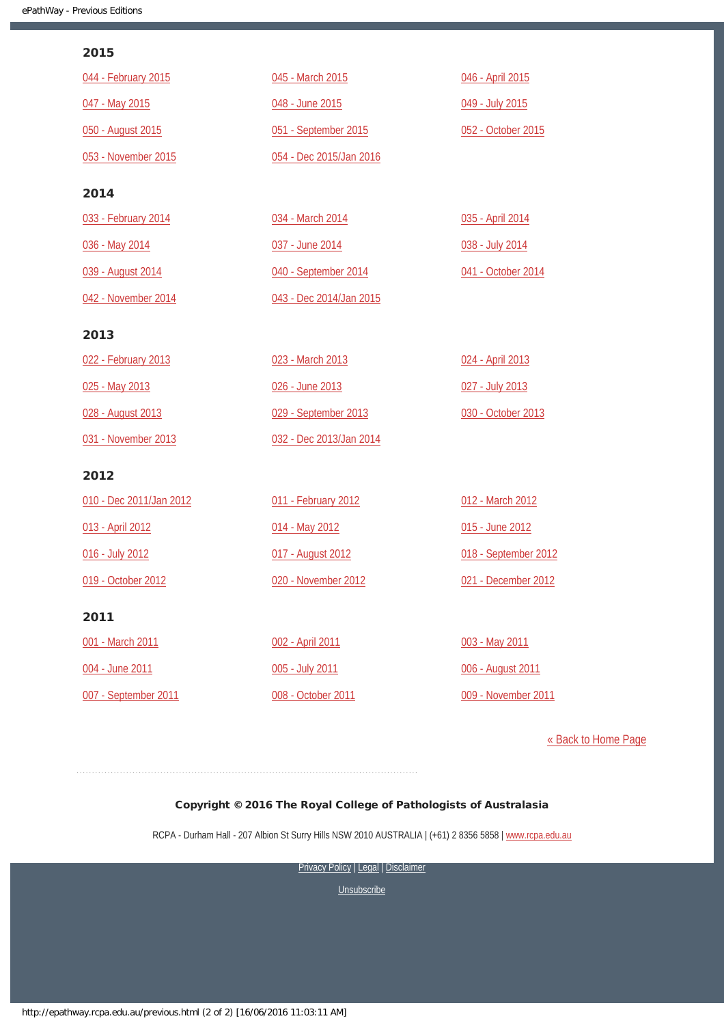### 2015

| 044 - February 2015     | 045 - March 2015        | 046 - April 2015     |
|-------------------------|-------------------------|----------------------|
| 047 - May 2015          | 048 - June 2015         | 049 - July 2015      |
| 050 - August 2015       | 051 - September 2015    | 052 - October 2015   |
| 053 - November 2015     | 054 - Dec 2015/Jan 2016 |                      |
| 2014                    |                         |                      |
| 033 - February 2014     | 034 - March 2014        | 035 - April 2014     |
| 036 - May 2014          | 037 - June 2014         | 038 - July 2014      |
| 039 - August 2014       | 040 - September 2014    | 041 - October 2014   |
| 042 - November 2014     | 043 - Dec 2014/Jan 2015 |                      |
| 2013                    |                         |                      |
| 022 - February 2013     | 023 - March 2013        | 024 - April 2013     |
| 025 - May 2013          | 026 - June 2013         | 027 - July 2013      |
| 028 - August 2013       | 029 - September 2013    | 030 - October 2013   |
| 031 - November 2013     | 032 - Dec 2013/Jan 2014 |                      |
| 2012                    |                         |                      |
| 010 - Dec 2011/Jan 2012 | 011 - February 2012     | 012 - March 2012     |
| 013 - April 2012        | 014 - May 2012          | 015 - June 2012      |
| 016 - July 2012         | 017 - August 2012       | 018 - September 2012 |
| 019 - October 2012      | 020 - November 2012     | 021 - December 2012  |
| 2011                    |                         |                      |
| 001 - March 2011        | 002 - April 2011        | 003 - May 2011       |
| 004 - June 2011         | 005 - July 2011         | 006 - August 2011    |
| 007 - September 2011    | 008 - October 2011      | 009 - November 2011  |

[« Back to Home Page](http://epathway.rcpa.edu.au/index.html)

### Copyright © 2016 The Royal College of Pathologists of Australasia

RCPA - Durham Hall - 207 Albion St Surry Hills NSW 2010 AUSTRALIA | (+61) 2 8356 5858 | [www.rcpa.edu.au](https://www.rcpa.edu.au/)

[Privacy Policy](https://www.rcpa.edu.au/Content-Library/Privacy.aspx) | [Legal](https://www.rcpa.edu.au/Legal.aspx) | Disclaimer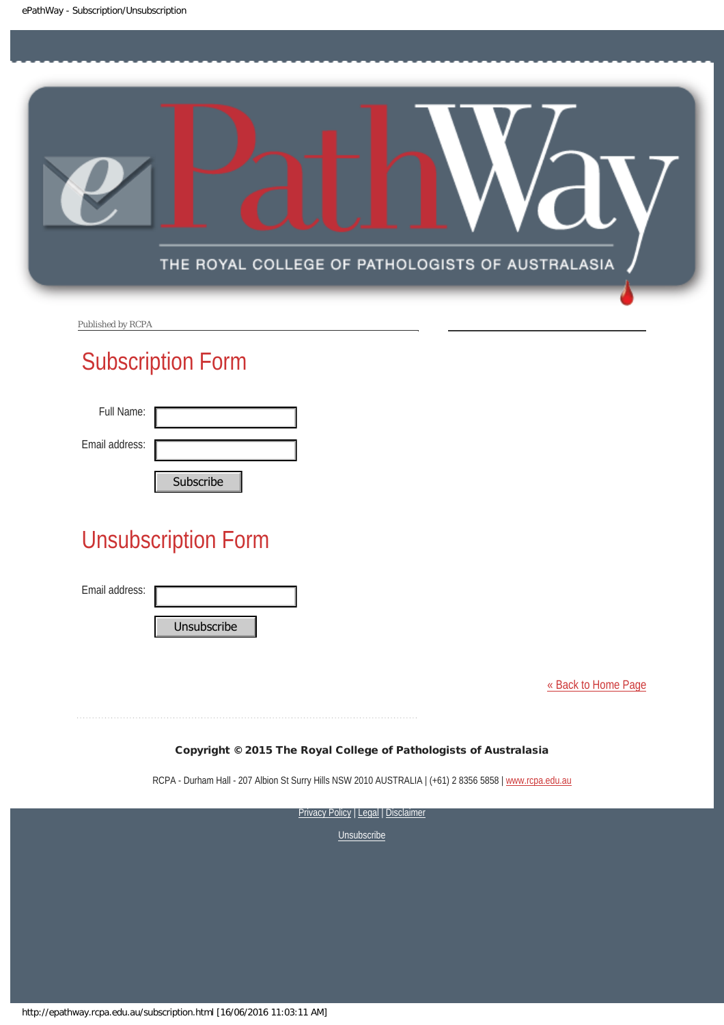<span id="page-7-0"></span>

Published by RCPA

# Subscription Form

| Full Name:     |           |
|----------------|-----------|
| Email address: |           |
|                | Cubccribo |

# Unsubscription Form Subscribe<br>
Unsubscription Form<br>
Email address:<br>
Unsubscribe<br>
Copyright © 2015 The Roya<br>
RCPA - Durham Hall - 207 Albion SI Surry Hill:<br>
Privacy<br>
Privacy<br>
Privacy<br>
Nutp://epathway.rcpa.edu.au/subscription.html [16/06/2016 1

Email address:

[« Back to Home Page](http://epathway.rcpa.edu.au/index.html)

### Copyright © 2015 The Royal College of Pathologists of Australasia

RCPA - Durham Hall - 207 Albion St Surry Hills NSW 2010 AUSTRALIA | (+61) 2 8356 5858 | [www.rcpa.edu.au](http://www.rcpa.edu.au/)

**[Privacy Policy](http://www.rcpa.edu.au/Content-Library/Privacy.aspx) | [Legal](http://www.rcpa.edu.au/Legal.aspx) | Disclaimer**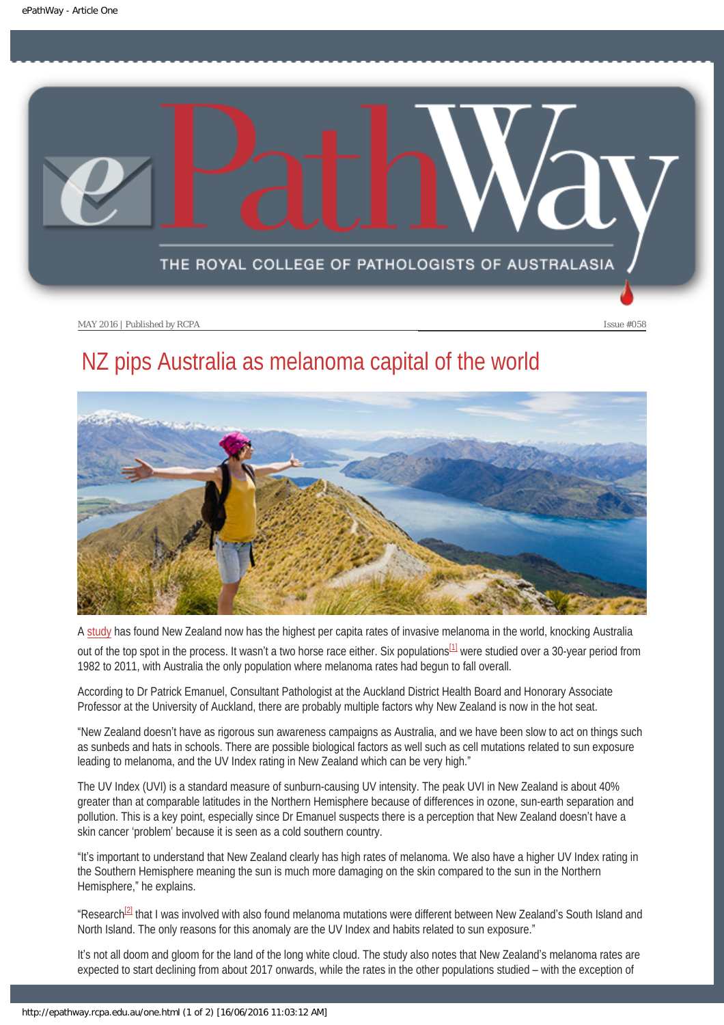<span id="page-8-0"></span>

# NZ pips Australia as melanoma capital of the world



A [study](http://www.jidonline.org/article/S0022-202X(16)00488-7/pdf) has found New Zealand now has the highest per capita rates of invasive melanoma in the world, knocking Australia out of the top spot in the process. It wasn't a two horse race either. Six populations  $11$  were studied over a 30-year period from 1982 to 2011, with Australia the only population where melanoma rates had begun to fall overall.

<span id="page-8-1"></span>According to Dr Patrick Emanuel, Consultant Pathologist at the Auckland District Health Board and Honorary Associate Professor at the University of Auckland, there are probably multiple factors why New Zealand is now in the hot seat.

"New Zealand doesn't have as rigorous sun awareness campaigns as Australia, and we have been slow to act on things such as sunbeds and hats in schools. There are possible biological factors as well such as cell mutations related to sun exposure leading to melanoma, and the UV Index rating in New Zealand which can be very high."

The UV Index (UVI) is a standard measure of sunburn-causing UV intensity. The peak UVI in New Zealand is about 40% greater than at comparable latitudes in the Northern Hemisphere because of differences in ozone, sun-earth separation and pollution. This is a key point, especially since Dr Emanuel suspects there is a perception that New Zealand doesn't have a skin cancer 'problem' because it is seen as a cold southern country.

"It's important to understand that New Zealand clearly has high rates of melanoma. We also have a higher UV Index rating in the Southern Hemisphere meaning the sun is much more damaging on the skin compared to the sun in the Northern Hemisphere," he explains.

<span id="page-8-2"></span>"Research<sup>[2]</sup> that I was involved with also found melanoma mutations were different between New Zealand's South Island and North Island. The only reasons for this anomaly are the UV Index and habits related to sun exposure."

It's not all doom and gloom for the land of the long white cloud. The study also notes that New Zealand's melanoma rates are expected to start declining from about 2017 onwards, while the rates in the other populations studied – with the exception of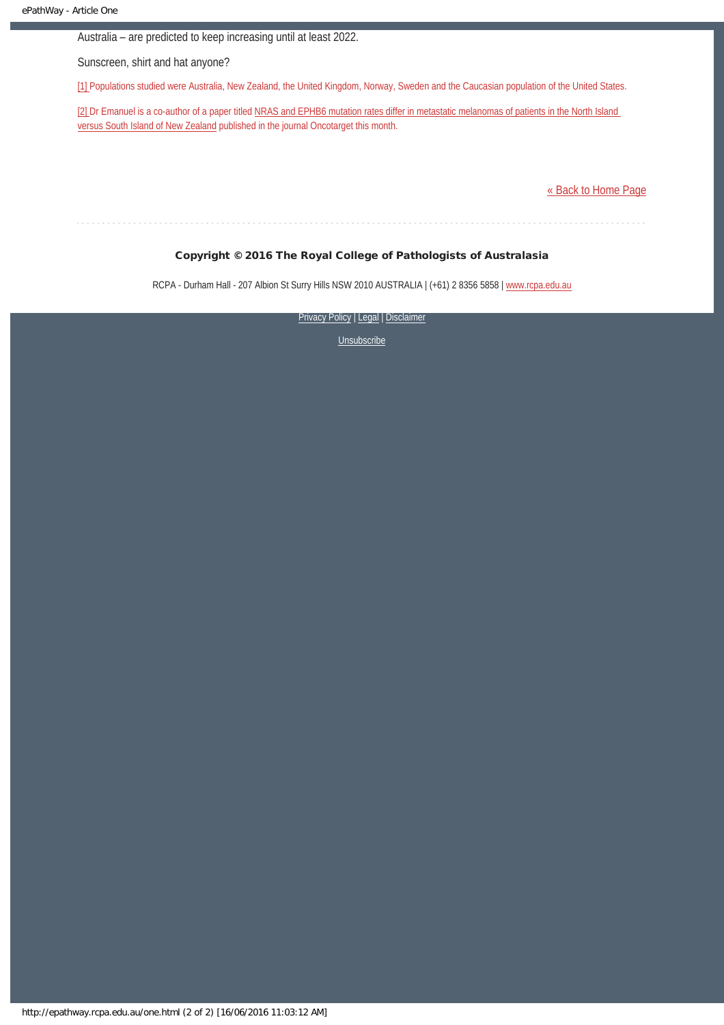Australia – are predicted to keep increasing until at least 2022.

Sunscreen, shirt and hat anyone?

<span id="page-9-0"></span>[\[1\]](#page-8-1) Populations studied were Australia, New Zealand, the United Kingdom, Norway, Sweden and the Caucasian population of the United States.

<span id="page-9-1"></span>[\[2\]](#page-8-2) Dr Emanuel is a co-author of a paper titled [NRAS and EPHB6 mutation rates differ in metastatic melanomas of patients in the North Island](http://www.impactjournals.com/oncotarget/index.php?journal=oncotarget&page=article&op=view&path%5B%5D=9351) [versus South Island of New Zealand](http://www.impactjournals.com/oncotarget/index.php?journal=oncotarget&page=article&op=view&path%5B%5D=9351) published in the journal Oncotarget this month.

[« Back to Home Page](http://epathway.rcpa.edu.au/index.html)

### Copyright © 2016 The Royal College of Pathologists of Australasia

RCPA - Durham Hall - 207 Albion St Surry Hills NSW 2010 AUSTRALIA | (+61) 2 8356 5858 | [www.rcpa.edu.au](https://www.rcpa.edu.au/)

[Privacy Policy](https://www.rcpa.edu.au/Content-Library/Privacy.aspx) | [Legal](https://www.rcpa.edu.au/Legal.aspx) | Disclaimer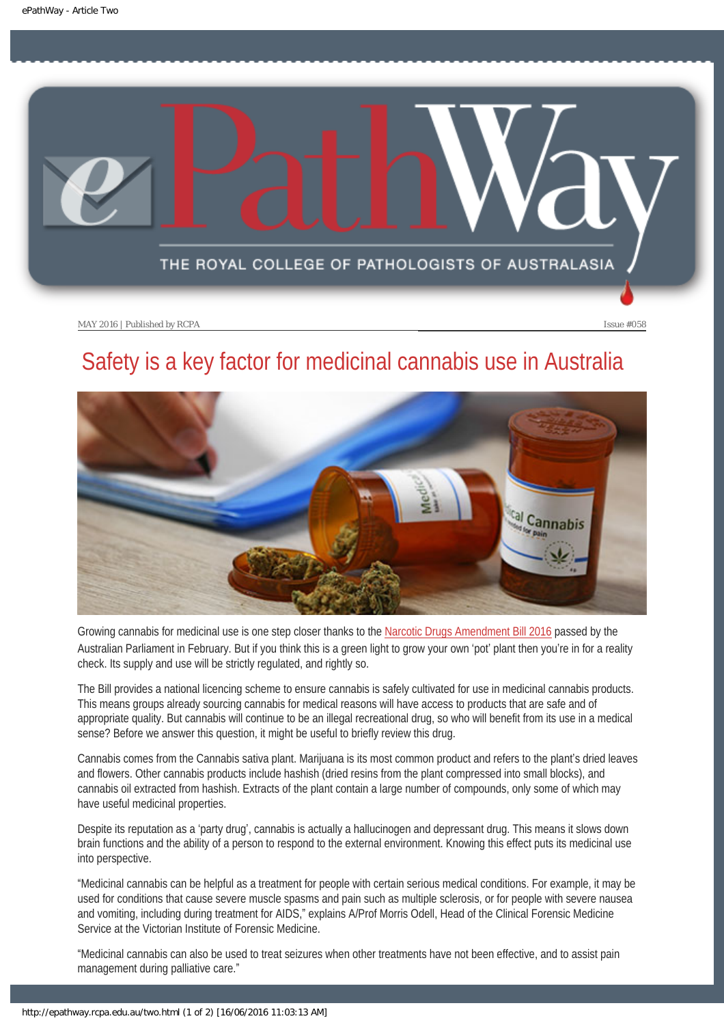<span id="page-10-0"></span>

# Safety is a key factor for medicinal cannabis use in Australia



Growing cannabis for medicinal use is one step closer thanks to the [Narcotic Drugs Amendment Bill 2016](https://www.health.gov.au/internet/ministers/publishing.nsf/Content/5E437BF8715C3EBACA257F540078A07A/$File/Public%20Information%20Paper.pdf) passed by the Australian Parliament in February. But if you think this is a green light to grow your own 'pot' plant then you're in for a reality check. Its supply and use will be strictly regulated, and rightly so.

The Bill provides a national licencing scheme to ensure cannabis is safely cultivated for use in medicinal cannabis products. This means groups already sourcing cannabis for medical reasons will have access to products that are safe and of appropriate quality. But cannabis will continue to be an illegal recreational drug, so who will benefit from its use in a medical sense? Before we answer this question, it might be useful to briefly review this drug.

Cannabis comes from the Cannabis sativa plant. Marijuana is its most common product and refers to the plant's dried leaves and flowers. Other cannabis products include hashish (dried resins from the plant compressed into small blocks), and cannabis oil extracted from hashish. Extracts of the plant contain a large number of compounds, only some of which may have useful medicinal properties.

Despite its reputation as a 'party drug', cannabis is actually a hallucinogen and depressant drug. This means it slows down brain functions and the ability of a person to respond to the external environment. Knowing this effect puts its medicinal use into perspective.

"Medicinal cannabis can be helpful as a treatment for people with certain serious medical conditions. For example, it may be used for conditions that cause severe muscle spasms and pain such as multiple sclerosis, or for people with severe nausea and vomiting, including during treatment for AIDS," explains A/Prof Morris Odell, Head of the Clinical Forensic Medicine Service at the Victorian Institute of Forensic Medicine.

"Medicinal cannabis can also be used to treat seizures when other treatments have not been effective, and to assist pain management during palliative care."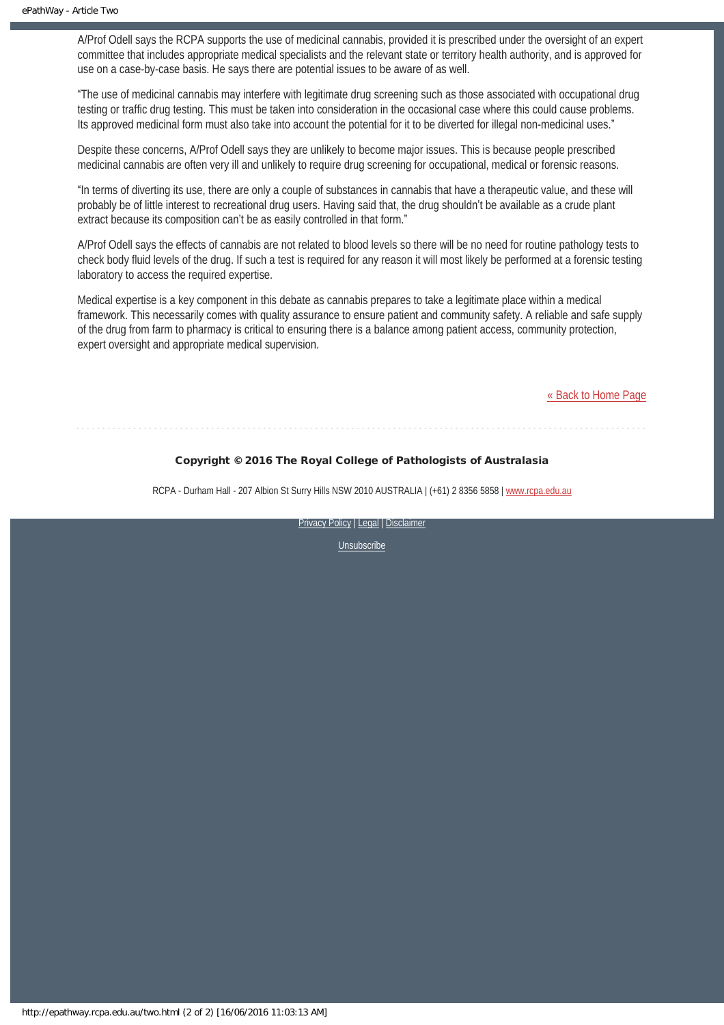A/Prof Odell says the RCPA supports the use of medicinal cannabis, provided it is prescribed under the oversight of an expert committee that includes appropriate medical specialists and the relevant state or territory health authority, and is approved for use on a case-by-case basis. He says there are potential issues to be aware of as well.

"The use of medicinal cannabis may interfere with legitimate drug screening such as those associated with occupational drug testing or traffic drug testing. This must be taken into consideration in the occasional case where this could cause problems. Its approved medicinal form must also take into account the potential for it to be diverted for illegal non-medicinal uses."

Despite these concerns, A/Prof Odell says they are unlikely to become major issues. This is because people prescribed medicinal cannabis are often very ill and unlikely to require drug screening for occupational, medical or forensic reasons.

"In terms of diverting its use, there are only a couple of substances in cannabis that have a therapeutic value, and these will probably be of little interest to recreational drug users. Having said that, the drug shouldn't be available as a crude plant extract because its composition can't be as easily controlled in that form."

A/Prof Odell says the effects of cannabis are not related to blood levels so there will be no need for routine pathology tests to check body fluid levels of the drug. If such a test is required for any reason it will most likely be performed at a forensic testing laboratory to access the required expertise.

Medical expertise is a key component in this debate as cannabis prepares to take a legitimate place within a medical framework. This necessarily comes with quality assurance to ensure patient and community safety. A reliable and safe supply of the drug from farm to pharmacy is critical to ensuring there is a balance among patient access, community protection, expert oversight and appropriate medical supervision.

[« Back to Home Page](http://epathway.rcpa.edu.au/index.html)

### Copyright © 2016 The Royal College of Pathologists of Australasia

RCPA - Durham Hall - 207 Albion St Surry Hills NSW 2010 AUSTRALIA | (+61) 2 8356 5858 | [www.rcpa.edu.au](https://www.rcpa.edu.au/)

[Privacy Policy](https://www.rcpa.edu.au/Content-Library/Privacy.aspx) | [Legal](https://www.rcpa.edu.au/Legal.aspx) | Disclaimer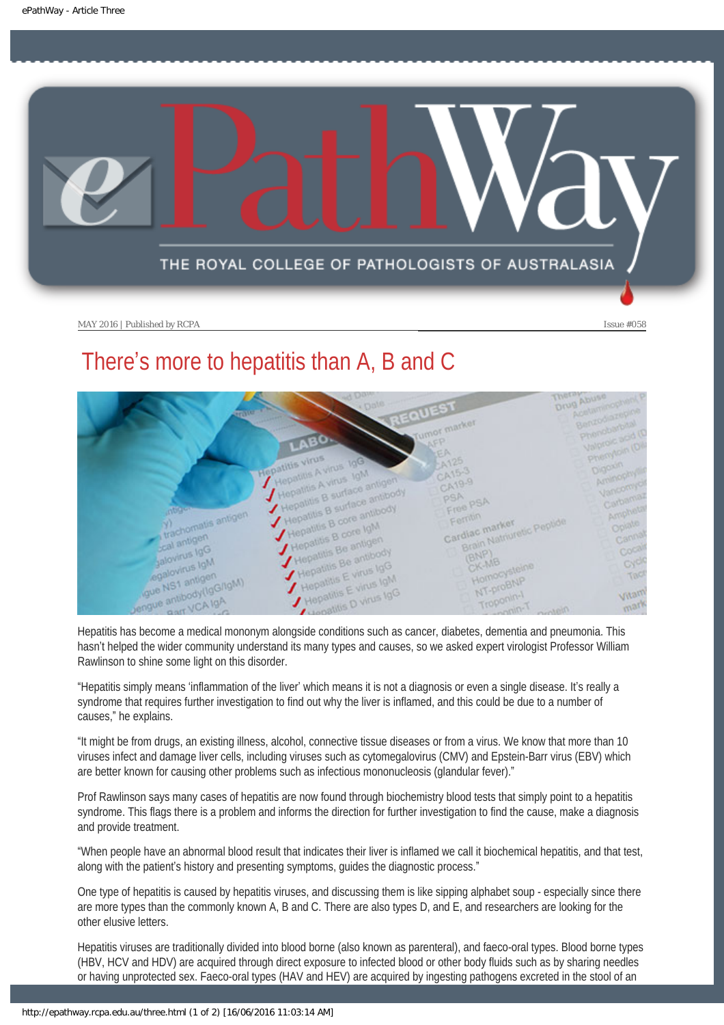<span id="page-12-0"></span>

# There's more to hepatitis than A, B and C



hasn't helped the wider community understand its many types and causes, so we asked expert virologist Professor William Rawlinson to shine some light on this disorder.

"Hepatitis simply means 'inflammation of the liver' which means it is not a diagnosis or even a single disease. It's really a syndrome that requires further investigation to find out why the liver is inflamed, and this could be due to a number of causes," he explains.

"It might be from drugs, an existing illness, alcohol, connective tissue diseases or from a virus. We know that more than 10 viruses infect and damage liver cells, including viruses such as cytomegalovirus (CMV) and Epstein-Barr virus (EBV) which are better known for causing other problems such as infectious mononucleosis (glandular fever)."

Prof Rawlinson says many cases of hepatitis are now found through biochemistry blood tests that simply point to a hepatitis syndrome. This flags there is a problem and informs the direction for further investigation to find the cause, make a diagnosis and provide treatment.

"When people have an abnormal blood result that indicates their liver is inflamed we call it biochemical hepatitis, and that test, along with the patient's history and presenting symptoms, guides the diagnostic process."

One type of hepatitis is caused by hepatitis viruses, and discussing them is like sipping alphabet soup - especially since there are more types than the commonly known A, B and C. There are also types D, and E, and researchers are looking for the other elusive letters.

Hepatitis viruses are traditionally divided into blood borne (also known as parenteral), and faeco-oral types. Blood borne types (HBV, HCV and HDV) are acquired through direct exposure to infected blood or other body fluids such as by sharing needles or having unprotected sex. Faeco-oral types (HAV and HEV) are acquired by ingesting pathogens excreted in the stool of an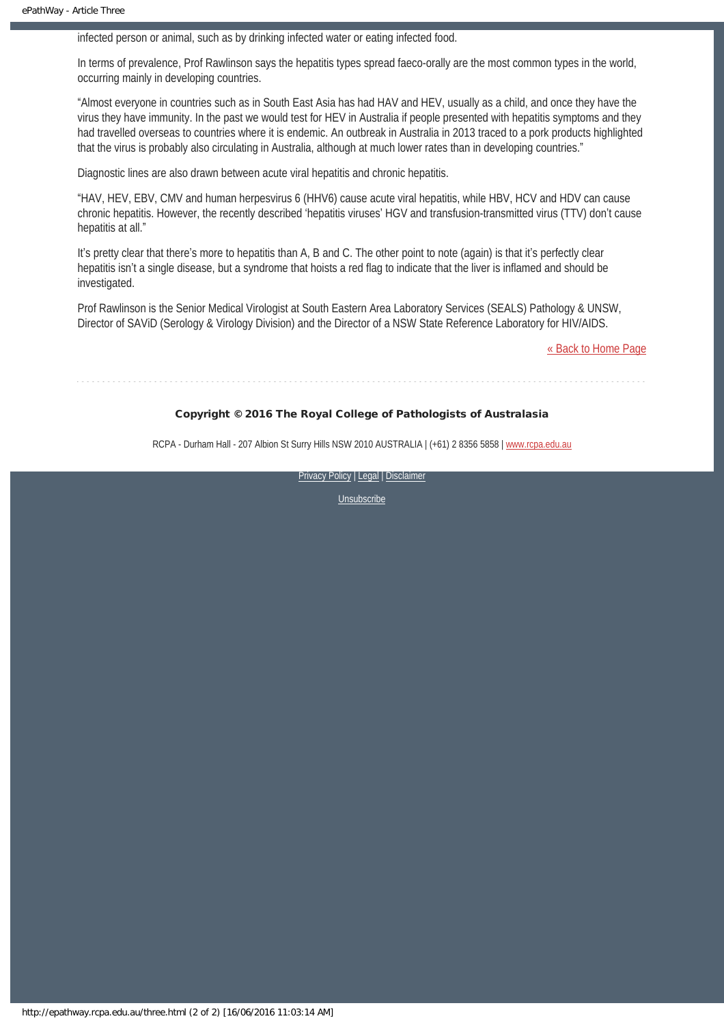infected person or animal, such as by drinking infected water or eating infected food.

In terms of prevalence, Prof Rawlinson says the hepatitis types spread faeco-orally are the most common types in the world, occurring mainly in developing countries.

"Almost everyone in countries such as in South East Asia has had HAV and HEV, usually as a child, and once they have the virus they have immunity. In the past we would test for HEV in Australia if people presented with hepatitis symptoms and they had travelled overseas to countries where it is endemic. An outbreak in Australia in 2013 traced to a pork products highlighted that the virus is probably also circulating in Australia, although at much lower rates than in developing countries."

Diagnostic lines are also drawn between acute viral hepatitis and chronic hepatitis.

"HAV, HEV, EBV, CMV and human herpesvirus 6 (HHV6) cause acute viral hepatitis, while HBV, HCV and HDV can cause chronic hepatitis. However, the recently described 'hepatitis viruses' HGV and transfusion-transmitted virus (TTV) don't cause hepatitis at all."

It's pretty clear that there's more to hepatitis than A, B and C. The other point to note (again) is that it's perfectly clear hepatitis isn't a single disease, but a syndrome that hoists a red flag to indicate that the liver is inflamed and should be investigated.

Prof Rawlinson is the Senior Medical Virologist at South Eastern Area Laboratory Services (SEALS) Pathology & UNSW, Director of SAViD (Serology & Virology Division) and the Director of a NSW State Reference Laboratory for HIV/AIDS.

[« Back to Home Page](http://epathway.rcpa.edu.au/index.html)

### Copyright © 2016 The Royal College of Pathologists of Australasia

RCPA - Durham Hall - 207 Albion St Surry Hills NSW 2010 AUSTRALIA | (+61) 2 8356 5858 | [www.rcpa.edu.au](https://www.rcpa.edu.au/)

[Privacy Policy](https://www.rcpa.edu.au/Content-Library/Privacy.aspx) | [Legal](https://www.rcpa.edu.au/Legal.aspx) | Disclaimer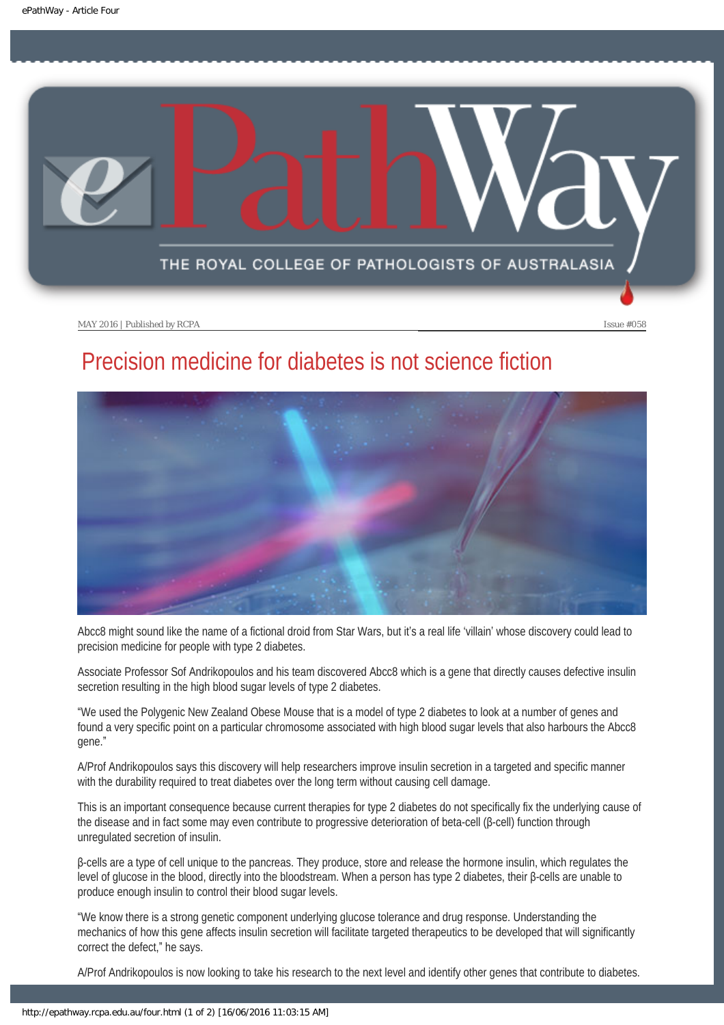<span id="page-14-0"></span>

# Precision medicine for diabetes is not science fiction



Abcc8 might sound like the name of a fictional droid from Star Wars, but it's a real life 'villain' whose discovery could lead to precision medicine for people with type 2 diabetes.

Associate Professor Sof Andrikopoulos and his team discovered Abcc8 which is a gene that directly causes defective insulin secretion resulting in the high blood sugar levels of type 2 diabetes.

"We used the Polygenic New Zealand Obese Mouse that is a model of type 2 diabetes to look at a number of genes and found a very specific point on a particular chromosome associated with high blood sugar levels that also harbours the Abcc8 gene."

A/Prof Andrikopoulos says this discovery will help researchers improve insulin secretion in a targeted and specific manner with the durability required to treat diabetes over the long term without causing cell damage.

This is an important consequence because current therapies for type 2 diabetes do not specifically fix the underlying cause of the disease and in fact some may even contribute to progressive deterioration of beta-cell (β-cell) function through unregulated secretion of insulin.

β-cells are a type of cell unique to the pancreas. They produce, store and release the hormone insulin, which regulates the level of glucose in the blood, directly into the bloodstream. When a person has type 2 diabetes, their β-cells are unable to produce enough insulin to control their blood sugar levels.

"We know there is a strong genetic component underlying glucose tolerance and drug response. Understanding the mechanics of how this gene affects insulin secretion will facilitate targeted therapeutics to be developed that will significantly correct the defect," he says.

A/Prof Andrikopoulos is now looking to take his research to the next level and identify other genes that contribute to diabetes.